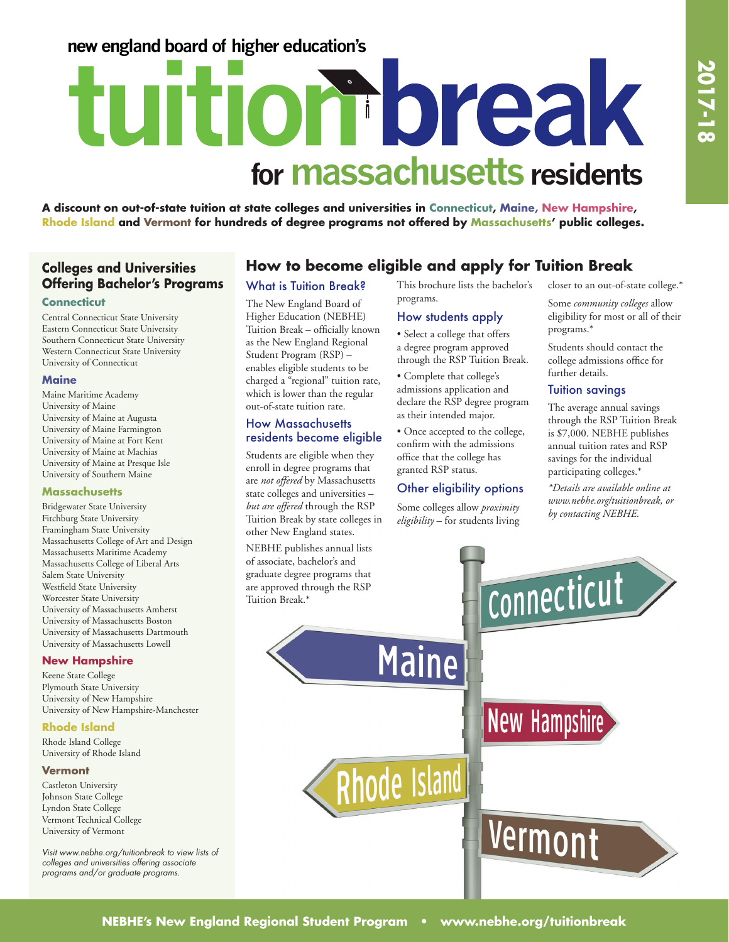# **new england board of higher education's**

# tuition break for **massachusetts** residents

**A discount on out-of-state tuition at state colleges and universities in Connecticut, Maine, New Hampshire, Rhode Island and Vermont for hundreds of degree programs not offered by Massachusetts' public colleges.** 

## **Colleges and Universities Offering Bachelor's Programs**

#### **Connecticut**

Central Connecticut State University Eastern Connecticut State University Southern Connecticut State University Western Connecticut State University University of Connecticut

#### **Maine**

Maine Maritime Academy University of Maine University of Maine at Augusta University of Maine Farmington University of Maine at Fort Kent University of Maine at Machias University of Maine at Presque Isle University of Southern Maine

#### **Massachusetts**

Bridgewater State University Fitchburg State University Framingham State University Massachusetts College of Art and Design Massachusetts Maritime Academy Massachusetts College of Liberal Arts Salem State University Westfield State University Worcester State University University of Massachusetts Amherst University of Massachusetts Boston University of Massachusetts Dartmouth University of Massachusetts Lowell

#### **New Hampshire**

Keene State College Plymouth State University University of New Hampshire University of New Hampshire-Manchester

#### **Rhode Island**

Rhode Island College University of Rhode Island

#### **Vermont**

Castleton University Johnson State College Lyndon State College Vermont Technical College University of Vermont

*Visit www.nebhe.org/tuitionbreak to view lists of colleges and universities offering associate programs and/or graduate programs.*

# **How to become eligible and apply for Tuition Break**

#### What is Tuition Break?

The New England Board of Higher Education (NEBHE) Tuition Break – officially known as the New England Regional Student Program (RSP) – enables eligible students to be charged a "regional" tuition rate, which is lower than the regular out-of-state tuition rate.

#### How Massachusetts residents become eligible

Students are eligible when they enroll in degree programs that are *not offered* by Massachusetts state colleges and universities – *but are offered* through the RSP Tuition Break by state colleges in other New England states.

NEBHE publishes annual lists of associate, bachelor's and graduate degree programs that are approved through the RSP Tuition Break.\*

This brochure lists the bachelor's programs.

#### How students apply

• Select a college that offers a degree program approved through the RSP Tuition Break.

• Complete that college's admissions application and declare the RSP degree program as their intended major.

• Once accepted to the college, confirm with the admissions office that the college has granted RSP status.

#### Other eligibility options

Some colleges allow *proximity eligibility* – for students living closer to an out-of-state college.\*

Some *community colleges* allow eligibility for most or all of their programs.\*

Students should contact the college admissions office for further details.

#### Tuition savings

The average annual savings through the RSP Tuition Break is \$7,000. NEBHE publishes annual tuition rates and RSP savings for the individual participating colleges.\*

*\*Details are available online at www.nebhe.org/tuitionbreak, or by contacting NEBHE.*

connecticut **Maine** New Hampshire **Rhode Island** 

Vermont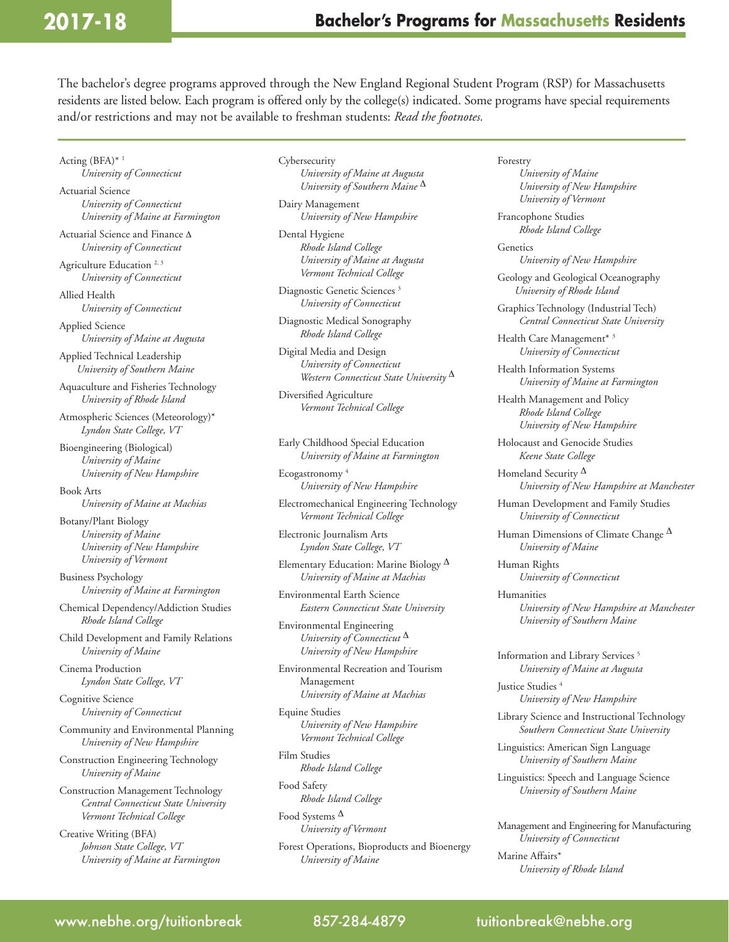# **2017-18**

The bachelor's degree programs approved through the New England Regional Student Program (RSP) for Massachusetts residents are listed below. Each program is offered only by the college(s) indicated. Some programs have special requirements and/or restrictions and may not be available to freshman students: *Read the footnotes.*

Acting (BFA)\* 1 *University of Connecticut*

Actuarial Science *University of Connecticut University of Maine at Farmington*

Actuarial Science and Finance ∆ *University of Connecticut*

Agriculture Education<sup>2, 3</sup> *University of Connecticut*

Allied Health *University of Connecticut*

Applied Science *University of Maine at Augusta*

Applied Technical Leadership *University of Southern Maine*

Aquaculture and Fisheries Technology *University of Rhode Island*

Atmospheric Sciences (Meteorology)\* *Lyndon State College, VT*

Bioengineering (Biological) *University of Maine University of New Hampshire*

Book Arts *University of Maine at Machias*

Botany/Plant Biology *University of Maine University of New Hampshire University of Vermont*

Business Psychology *University of Maine at Farmington*

Chemical Dependency/Addiction Studies *Rhode Island College*

Child Development and Family Relations *University of Maine*

Cinema Production *Lyndon State College, VT*

Cognitive Science *University of Connecticut*

Community and Environmental Planning *University of New Hampshire*

Construction Engineering Technology *University of Maine*

Construction Management Technology *Central Connecticut State University Vermont Technical College*

Creative Writing (BFA) *Johnson State College, VT University of Maine at Farmington* **Cybersecurity** *University of Maine at Augusta University of Southern Maine* ∆

Dairy Management *University of New Hampshire*

Dental Hygiene *Rhode Island College University of Maine at Augusta Vermont Technical College*

Diagnostic Genetic Sciences<sup>3</sup> *University of Connecticut*

Diagnostic Medical Sonography *Rhode Island College*

Digital Media and Design *University of Connecticut Western Connecticut State University* ∆

Diversified Agriculture *Vermont Technical College*

Early Childhood Special Education *University of Maine at Farmington*

Ecogastronomy 4 *University of New Hampshire*

Electromechanical Engineering Technology *Vermont Technical College*

Electronic Journalism Arts *Lyndon State College, VT* 

Elementary Education: Marine Biology ∆ *University of Maine at Machias*

Environmental Earth Science *Eastern Connecticut State University*

Environmental Engineering *University of Connecticut* ∆ *University of New Hampshire*

Environmental Recreation and Tourism Management *University of Maine at Machias*

Equine Studies *University of New Hampshire Vermont Technical College*

Film Studies *Rhode Island College*

Food Safety *Rhode Island College*

Food Systems ∆ *University of Vermont*

Forest Operations, Bioproducts and Bioenergy *University of Maine*

Forestry *University of Maine University of New Hampshire University of Vermont*

Francophone Studies *Rhode Island College*

**Genetics** *University of New Hampshire*

Geology and Geological Oceanography *University of Rhode Island* 

Graphics Technology (Industrial Tech) *Central Connecticut State University*

Health Care Management\* 3 *University of Connecticut*

Health Information Systems *University of Maine at Farmington*

Health Management and Policy *Rhode Island College University of New Hampshire*

Holocaust and Genocide Studies *Keene State College*

Homeland Security  $\Delta$ *University of New Hampshire at Manchester*

Human Development and Family Studies *University of Connecticut*

Human Dimensions of Climate Change  $\Delta$ *University of Maine*

Human Rights *University of Connecticut*

Humanities *University of New Hampshire at Manchester University of Southern Maine* 

Information and Library Services 5 *University of Maine at Augusta*

Justice Studies<sup>4</sup> *University of New Hampshire*

Library Science and Instructional Technology *Southern Connecticut State University*

Linguistics: American Sign Language *University of Southern Maine*

Linguistics: Speech and Language Science *University of Southern Maine*

Management and Engineering for Manufacturing *University of Connecticut*

Marine Affairs\* *University of Rhode Island*

### www.nebhe.org/tuitionbreak 857-284-4879 tuitionbreak@nebhe.org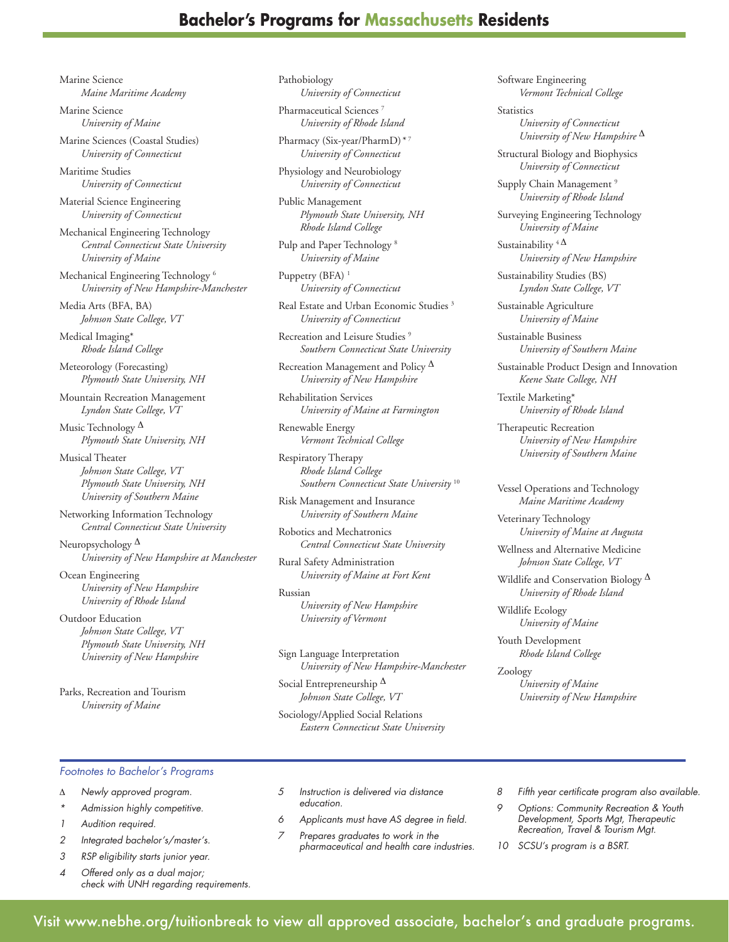# **Bachelor's Programs for Massachusetts Residents**

Marine Science *Maine Maritime Academy*

Marine Science *University of Maine*

Marine Sciences (Coastal Studies) *University of Connecticut*

Maritime Studies *University of Connecticut*

Material Science Engineering *University of Connecticut*

Mechanical Engineering Technology *Central Connecticut State University University of Maine*

Mechanical Engineering Technology 6 *University of New Hampshire-Manchester*

Media Arts (BFA, BA) *Johnson State College, VT* 

Medical Imaging\* *Rhode Island College*

Meteorology (Forecasting) *Plymouth State University, NH*

Mountain Recreation Management *Lyndon State College, VT*

Music Technology  $\Delta$ *Plymouth State University, NH*

Musical Theater *Johnson State College, VT Plymouth State University, NH University of Southern Maine* 

Networking Information Technology *Central Connecticut State University*

Neuropsychology ∆ *University of New Hampshire at Manchester*

Ocean Engineering *University of New Hampshire University of Rhode Island*

Outdoor Education *Johnson State College, VT Plymouth State University, NH University of New Hampshire* 

Parks, Recreation and Tourism *University of Maine*

Pathobiology *University of Connecticut*

Pharmaceutical Sciences<sup>7</sup> *University of Rhode Island*

Pharmacy (Six-year/PharmD)*\** <sup>7</sup> *University of Connecticut* 

Physiology and Neurobiology *University of Connecticut*

Public Management *Plymouth State University, NH Rhode Island College*

Pulp and Paper Technology 8 *University of Maine*

Puppetry (BFA)<sup>1</sup> *University of Connecticut*

Real Estate and Urban Economic Studies 3 *University of Connecticut*

Recreation and Leisure Studies<sup>9</sup> *Southern Connecticut State University*

Recreation Management and Policy  $^{\Delta}$ *University of New Hampshire*

Rehabilitation Services *University of Maine at Farmington*

Renewable Energy *Vermont Technical College*

Respiratory Therapy *Rhode Island College Southern Connecticut State University* <sup>10</sup>

Risk Management and Insurance *University of Southern Maine*

Robotics and Mechatronics *Central Connecticut State University*

Rural Safety Administration *University of Maine at Fort Kent*

Russian

*University of New Hampshire University of Vermont*

Sign Language Interpretation *University of New Hampshire-Manchester*

Social Entrepreneurship ∆ *Johnson State College, VT*

Sociology/Applied Social Relations *Eastern Connecticut State University* Software Engineering *Vermont Technical College*

**Statistics** *University of Connecticut University of New Hampshire* ∆

Structural Biology and Biophysics *University of Connecticut*

Supply Chain Management<sup>9</sup> *University of Rhode Island*

Surveying Engineering Technology *University of Maine*

Sustainability  $4\Delta$ *University of New Hampshire*

Sustainability Studies (BS) *Lyndon State College, VT*

Sustainable Agriculture *University of Maine*

Sustainable Business *University of Southern Maine*

Sustainable Product Design and Innovation *Keene State College, NH*

Textile Marketing\* *University of Rhode Island*

Therapeutic Recreation *University of New Hampshire University of Southern Maine*

Vessel Operations and Technology *Maine Maritime Academy*

Veterinary Technology *University of Maine at Augusta*

Wellness and Alternative Medicine *Johnson State College, VT*

Wildlife and Conservation Biology ∆ *University of Rhode Island*

Wildlife Ecology *University of Maine*

Youth Development *Rhode Island College* 

Zoology *University of Maine University of New Hampshire*

#### *Footnotes to Bachelor's Programs*

- ∆ *Newly approved program.*
- *\* Admission highly competitive.*
- *1 Audition required.*
- *2 Integrated bachelor's/master's.*
- *3 RSP eligibility starts junior year.*
- *4 Offered only as a dual major; check with UNH regarding requirements.*
- *5 Instruction is delivered via distance education.*
- *6 Applicants must have AS degree in field.*
- *7 Prepares graduates to work in the pharmaceutical and health care industries.*
- *8 Fifth year certificate program also available.*
- *9 Options: Community Recreation & Youth Development, Sports Mgt, Therapeutic Recreation, Travel & Tourism Mgt.*
- *10 SCSU's program is a BSRT.*

Visit www.nebhe.org/tuitionbreak to view all approved associate, bachelor's and graduate programs. *RI*